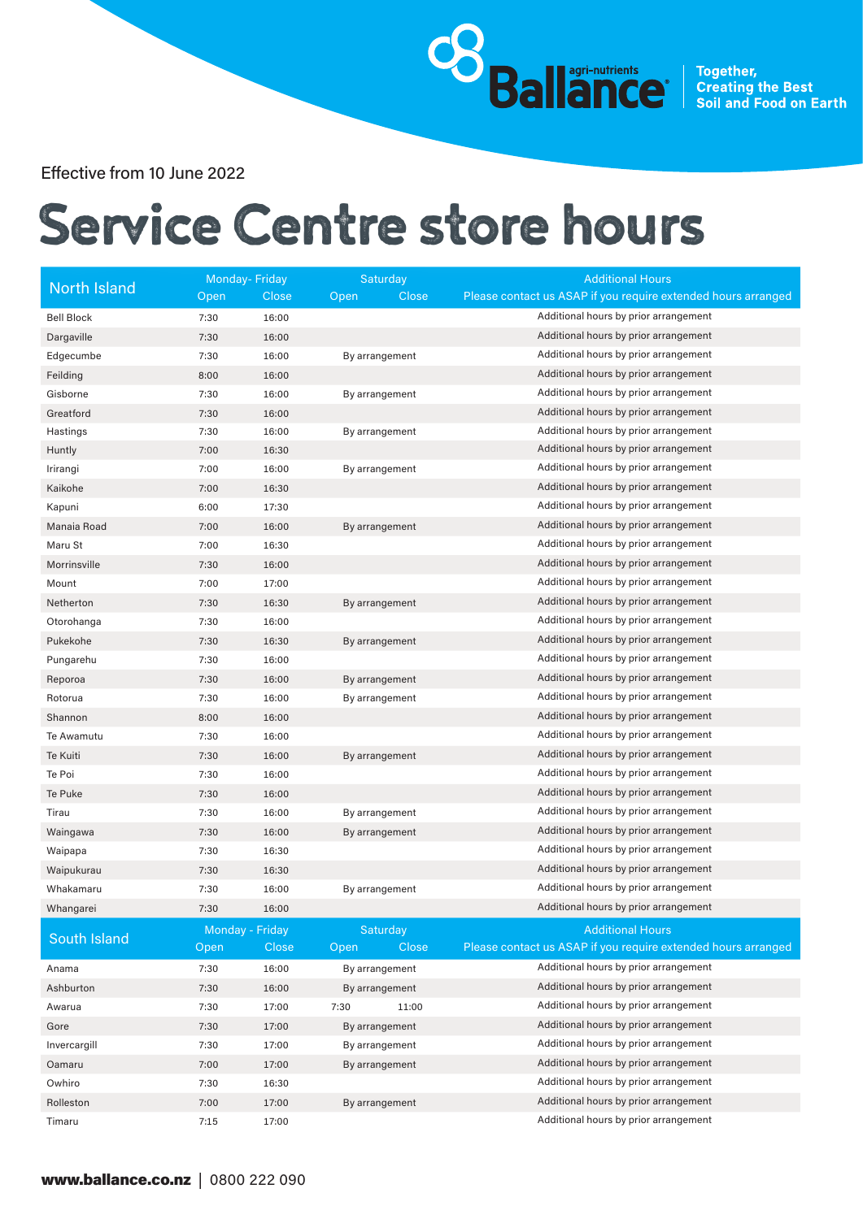**Sallance** Together, Creating the Best<br>Sallance Soil and Food on Earth

Effective from 10 June 2022

## Service Centre store hours

| <b>North Island</b> | <b>Monday-Friday</b> |              | Saturday       | <b>Additional Hours</b>                                       |  |  |
|---------------------|----------------------|--------------|----------------|---------------------------------------------------------------|--|--|
|                     | Open                 | Close        | Close<br>Open  | Please contact us ASAP if you require extended hours arranged |  |  |
| <b>Bell Block</b>   | 7:30                 | 16:00        |                | Additional hours by prior arrangement                         |  |  |
| Dargaville          | 7:30                 | 16:00        |                | Additional hours by prior arrangement                         |  |  |
| Edgecumbe           | 7:30                 | 16:00        | By arrangement | Additional hours by prior arrangement                         |  |  |
| Feilding            | 8:00                 | 16:00        |                | Additional hours by prior arrangement                         |  |  |
| Gisborne            | 7:30                 | 16:00        | By arrangement | Additional hours by prior arrangement                         |  |  |
| Greatford           | 7:30                 | 16:00        |                | Additional hours by prior arrangement                         |  |  |
| Hastings            | 7:30                 | 16:00        | By arrangement | Additional hours by prior arrangement                         |  |  |
| Huntly              | 7:00                 | 16:30        |                | Additional hours by prior arrangement                         |  |  |
| Irirangi            | 7:00                 | 16:00        | By arrangement | Additional hours by prior arrangement                         |  |  |
| Kaikohe             | 7:00                 | 16:30        |                | Additional hours by prior arrangement                         |  |  |
| Kapuni              | 6:00                 | 17:30        |                | Additional hours by prior arrangement                         |  |  |
| Manaia Road         | 7:00                 | 16:00        | By arrangement | Additional hours by prior arrangement                         |  |  |
| Maru St             | 7:00                 | 16:30        |                | Additional hours by prior arrangement                         |  |  |
| Morrinsville        | 7:30                 | 16:00        |                | Additional hours by prior arrangement                         |  |  |
| Mount               | 7:00                 | 17:00        |                | Additional hours by prior arrangement                         |  |  |
| Netherton           | 7:30                 | 16:30        | By arrangement | Additional hours by prior arrangement                         |  |  |
| Otorohanga          | 7:30                 | 16:00        |                | Additional hours by prior arrangement                         |  |  |
| Pukekohe            | 7:30                 | 16:30        | By arrangement | Additional hours by prior arrangement                         |  |  |
| Pungarehu           | 7:30                 | 16:00        |                | Additional hours by prior arrangement                         |  |  |
| Reporoa             | 7:30                 | 16:00        | By arrangement | Additional hours by prior arrangement                         |  |  |
| Rotorua             | 7:30                 | 16:00        | By arrangement | Additional hours by prior arrangement                         |  |  |
| Shannon             | 8:00                 | 16:00        |                | Additional hours by prior arrangement                         |  |  |
| Te Awamutu          | 7:30                 | 16:00        |                | Additional hours by prior arrangement                         |  |  |
| Te Kuiti            | 7:30                 | 16:00        | By arrangement | Additional hours by prior arrangement                         |  |  |
| Te Poi              | 7:30                 | 16:00        |                | Additional hours by prior arrangement                         |  |  |
| Te Puke             | 7:30                 | 16:00        |                | Additional hours by prior arrangement                         |  |  |
| Tirau               | 7:30                 | 16:00        | By arrangement | Additional hours by prior arrangement                         |  |  |
| Waingawa            | 7:30                 | 16:00        | By arrangement | Additional hours by prior arrangement                         |  |  |
| Waipapa             | 7:30                 | 16:30        |                | Additional hours by prior arrangement                         |  |  |
| Waipukurau          | 7:30                 | 16:30        |                | Additional hours by prior arrangement                         |  |  |
| Whakamaru           | 7:30                 | 16:00        | By arrangement | Additional hours by prior arrangement                         |  |  |
| Whangarei           | 7:30                 | 16:00        |                | Additional hours by prior arrangement                         |  |  |
| South Island        | Monday - Friday      |              | Saturday       | <b>Additional Hours</b>                                       |  |  |
|                     | Open                 | <b>Close</b> | Close<br>Open  | Please contact us ASAP if you require extended hours arranged |  |  |
| Anama               | 7:30                 | 16:00        | By arrangement | Additional hours by prior arrangement                         |  |  |
| Ashburton           | 7:30                 | 16:00        | By arrangement | Additional hours by prior arrangement                         |  |  |
| Awarua              | 7:30                 | 17:00        | 7:30<br>11:00  | Additional hours by prior arrangement                         |  |  |
| Gore                | 7:30                 | 17:00        | By arrangement | Additional hours by prior arrangement                         |  |  |
| Invercargill        | 7:30                 | 17:00        | By arrangement | Additional hours by prior arrangement                         |  |  |
| Oamaru              | 7:00                 | 17:00        | By arrangement | Additional hours by prior arrangement                         |  |  |
| Owhiro              | 7:30                 | 16:30        |                | Additional hours by prior arrangement                         |  |  |
| Rolleston           | 7:00                 | 17:00        | By arrangement | Additional hours by prior arrangement                         |  |  |
| Timaru              | 7:15                 | 17:00        |                | Additional hours by prior arrangement                         |  |  |